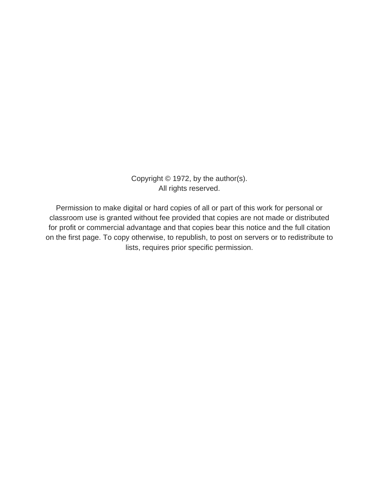Copyright © 1972, by the author(s). All rights reserved.

Permission to make digital or hard copies of all or part of this work for personal or classroom use is granted without fee provided that copies are not made or distributed for profit or commercial advantage and that copies bear this notice and the full citation on the first page. To copy otherwise, to republish, to post on servers or to redistribute to lists, requires prior specific permission.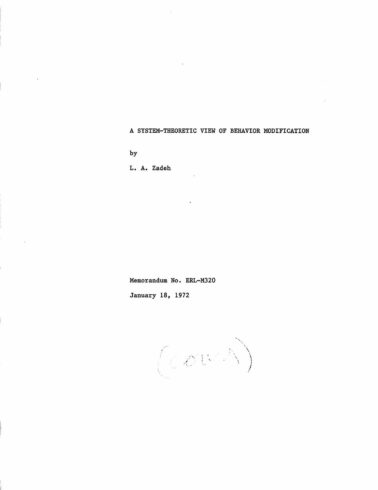A SYSTEM-THEORETIC VIEW OF BEHAVIOR MODIFICATION

by

L. A. Zadeh

Memorandum No. ERL-M320

January 18, 1972

 $\mathbb{R}^n \times \mathbb{R}^n$ *i*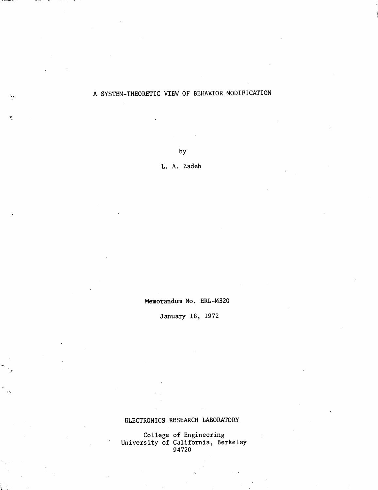## A SYSTEM-THEORETIC VIEW OF BEHAVIOR MODIFICATION

by

L. A. Zadeh

Memorandum No. ERL-M320

January 18, 1972

ELECTRONICS RESEARCH LABORATORY

College of Engineering University of California, Berkeley 94720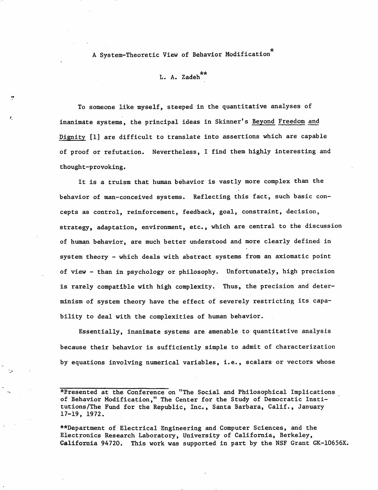A System-Theoretic View of Behavior Modification

L. A. Zadeh\*\*

To someone like myself, steeped in the quantitative analyses of inanimate systems, the principal ideas in Skinner's Beyond Freedom and Dignity [1] are difficult to translate into assertions which are capable of proof or refutation. Nevertheless, I find them highly interesting and thought-provoking.

It is a truism that human behavior is vastly more complex than the behavior of man-conceived systems. Reflecting this fact, such basic con cepts as control, reinforcement, feedback, goal, constraint, decision, strategy, adaptation, environment, etc., which are central to the discussion of human behavior, are much better understood and more clearly defined in system theory - which deals with abstract systems from an axiomatic point of view - than in psychology or philosophy. Unfortunately, high precision is rarely compatible with high complexity. Thus, the precision and deter minism of system theory have the effect of severely restricting its capa bility to deal with the complexities of human behavior.

Essentially, inanimate systems are amenable to quantitative analysis because their behavior is sufficiently simple to admit of characterization by equations involving numerical variables, i.e., scalars or vectors whose

\*Bresented at the Conference on "The Social and Philosophical Implications of Behavior Modification," The Center for the Study of Democratic Insti tutions/The Fund for the Republic, Inc., Santa Barbara, Calif., January 17-19, 1972.

\*\*Department of Electrical Engineering and Computer Sciences, and the Electronics Research Laboratory, University of California, Berkeley, California 94720. This work was supported in part by the NSF Grant GK-10656X.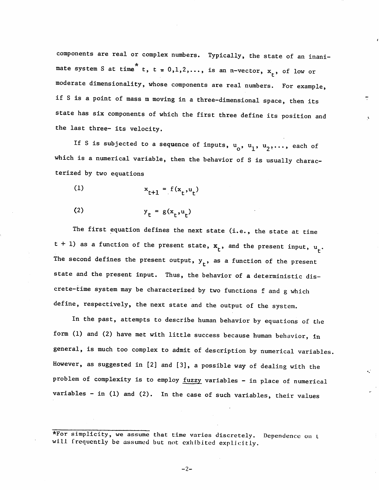components are real or complex numbers. Typically, the state of an inani mate system S at time<sup>\*</sup> t, t = 0,1,2,..., is an n-vector,  $x_t$ , of low or moderate dimensionality, whose components are real numbers. For example, if S is a point of mass m moving in a three-dimensional space, then its state has six components of which the first three define its position and the last three- its velocity.

If S is subjected to a sequence of inputs,  $u_0$ ,  $u_1$ ,  $u_2$ ,..., each of which is a numerical variable, then the behavior of S is usually characterized by two equations

(1) 
$$
x_{t+1} = f(x_t, u_t)
$$

$$
y_t = g(x_t, u_t)
$$

The first equation defines the next state (i.e., the state at time t + 1) as a function of the present state,  $x_t$ , and the present input,  $u_t$ . The second defines the present output,  $y_t$ , as a function of the present state and the present input. Thus, the behavior of a deterministic dis crete-time system may be characterized by two functions f and g which define, respectively, the next state and the output of the system.

In the past, attempts to describe human behavior by equations of the form (1) and (2) have met with little success because human behavior, in general, is much too complex to admit of description by numerical variables However, as suggested in [2] and [3], a possible way of dealing with the problem of complexity is to employ fuzzy variables - in place of numerical variables - in (1) and (2). In the case of such variables, their values

\*For simplicity, we assume that time varies discretely. Dependence on l will frequently be assumed but not exhibited explicitly.

 $-2-$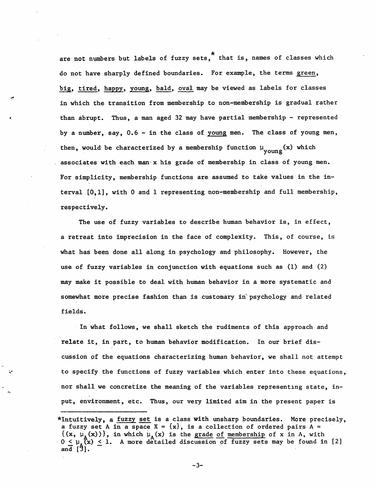are not numbers but labels of fuzzy sets," that is, names of classes which do not have sharply defined boundaries. For example, the terms green, big, tired, happy, young, bald, oval may be viewed as labels for classes in which the transition from membership to non-membership is gradual rather than abrupt. Thus, a man aged 32 may have partial membership - represented by a number, say, 0.6 - in the class of young men. The class of young men, then, would be characterized by a membership function  $\mu_{\text{vouno}}(x)$  which associates with each man  $x$  his grade of membership in class of young men. For simplicity, membership functions are assumed to take values in the in terval [0,1], with 0 and 1 representing non-membership and full membership, respectively.

The use of fuzzy variables to describe human behavior is, in effect, a retreat into imprecision in the face of complexity. This, of course, is what has been done all along in psychology and philosophy. However, the use of fuzzy variables in conjunction with equations such as (1) and (2) may make it possible to deal with human behavior in a more systematic and somewhat more precise fashion than is customary in psychology and related fields.

In what follows, we shall sketch the rudiments of this approach and relate it, in part, to human behavior modification. In our brief dis cussion of the equations characterizing human behavior, we shall not attempt to specify the functions of fuzzy variables which enter into these equations, nor shall we concretize the meaning of the variables representing state, in put, environment, etc. Thus, our very limited aim in the present paper is

<sup>\*</sup>Intuitively, a fuzzy set is a class with unsharp boundaries. More precisely, a fuzzy set A in a space  $X = \{x\}$ , is a collection of ordered pairs A =  $\{(x, \mu_{\Lambda}(x))\}$ , in which  $\mu_{\Lambda}(x)$  is the grade of membership of x in A, with  $0 \leq \mu_A(x) \leq 1$ . A more detailed discussion of fuzzy sets may be found in [2] and [3].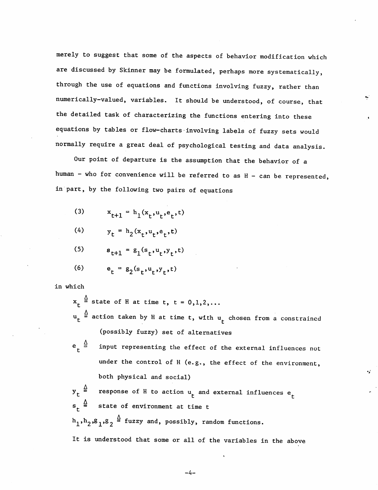merely to suggest that some of the aspects of behavior modification which are discussed by Skinner may be formulated, perhaps more systematically, through the use of equations and functions involving fuzzy, rather than numerically-valued, variables. It should be understood, of course, that the detailed task of characterizing the functions entering into these equations by tables or flow-charts involving labels of fuzzy sets would normally require a great deal of psychological testing and data analysis.

Our point of departure is the assumption that the behavior of a human - who for convenience will be referred to as H - can be represented, in part, by the following two pairs of equations

- (3)  $x_{t+1} = h_1(x_t, u_t, e_t, t)$
- (4)  $y_t = h_2(x_t, u_t, e_t, t)$

(5) 
$$
s_{t+1} = g_1(s_t, u_t, y_t, t)
$$

(6)  $e_t = g_2(s_t, u_t, y_t, t)$ 

in which

 $x_t \stackrel{\Delta}{=}$  state of H at time t, t = 0,1,2,...

- $\mathbf{u_t} \triangleq \mathbf{a}$ ction taken by H at time t, with  $\mathbf{u_t}$  chosen from a constrained (possibly fuzzy) set of alternatives
- $e_r \stackrel{\Delta}{=}$  input representing the effect of the external influences not under the control of H (e.g., the effect of the environment, both physical and social)

 $y_t$   $\stackrel{\Delta}{=}$  response of H to action  $u_t$  and external influences  $e_t$  $s_{r} \stackrel{\Delta}{=}$  state of environment at time t  $h_1,h_2,g_1,g_2 \triangleq$  fuzzy and, possibly, random functions. It is understood that some or all of the variables in the above

 $-4-$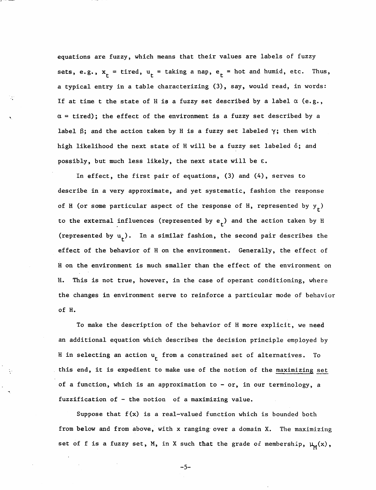equations are fuzzy, which means that their values are labels of fuzzy sets, e.g.,  $x_t = \text{tired}, u_t = \text{taking a nap}, e_t = \text{hot and humid}, \text{etc. Thus}$ a typical entry in a table characterizing (3), say, would read, in words: If at time t the state of H is a fuzzy set described by a label  $\alpha$  (e.g.,  $\alpha$  = tired); the effect of the environment is a fuzzy set described by a label  $\beta$ ; and the action taken by H is a fuzzy set labeled  $\gamma$ ; then with high likelihood the next state of H will be a fuzzy set labeled  $\delta$ ; and possibly, but much less likely, the next state will be  $\varepsilon$ .

In effect, the first pair of equations, (3) and (4), serves to describe in a very approximate, and yet systematic, fashion the response of H (or some particular aspect of the response of H, represented by  $y<sub>r</sub>$ ) to the external influences (represented by  $e_t$ ) and the action taken by H (represented by  $u_t$ ). In a similar fashion, the second pair describes the effect of the behavior of H on the environment. Generally, the effect of H on the environment is much smaller than the effect of the environment on H. This is not true, however, in the case of operant conditioning, where the changes in environment serve to reinforce a particular mode of behavior of H.

To make the description of the behavior of H more explicit, we need an additional equation which describes the decision principle employed by H in selecting an action  $u_t$  from a constrained set of alternatives. To this end, it is expedient to make use of the notion of the maximizing set of a function, which is an approximation to - or, in our terminology, a fuzzification of - the notion of a maximizing value.

Suppose that  $f(x)$  is a real-valued function which is bounded both from below and from above, with x ranging over a domain X. The maximizing set of f is a fuzzy set, M, in X such that the grade of membership,  $\mu_M(x)$ ,

-5-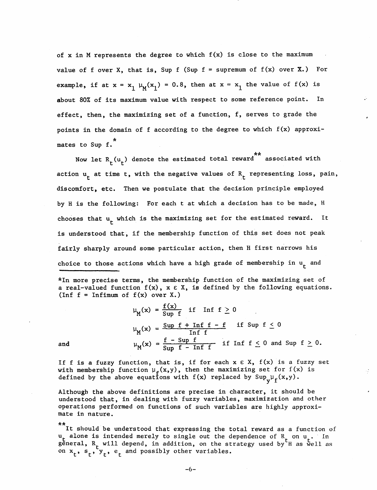of x in M represents the degree to which  $f(x)$  is close to the maximum value of f over X, that is, Sup f (Sup  $f =$  supremum of  $f(x)$  over X.) For example, if at  $x = x_1 \mu_M(x_1) = 0.8$ , then at  $x = x_1$  the value of  $f(x)$  is about 80% of its maximum value with respect to some reference point. In effect, then, the maximizing set of a function, f, serves to grade the points in the domain of f according to the degree to which f(x) approximates to Sup f.<sup>\*</sup>

Now let  $R_t(u_t)$  denote the estimated total reward associated with action  $u_t$  at time t, with the negative values of  $R_t$  representing loss, pain, discomfort, etc. Then we postulate that the decision principle employed by H is the following: For each t at which a decision has to be made, H chooses that  $u_t$  which is the maximizing set for the estimated reward. It is understood that, if the membership function of this set does not peak fairly sharply around some particular action, then H first narrows his choice to those actions which have a high grade of membership in  $u_t$  and

\*In more precise terms, the membership function of the maximizing set of a real-valued function  $f(x)$ ,  $x \in X$ , is defined by the following equations. (Inf  $f = \text{Infimum of } f(x)$  over X.)

 $\nu$ <sub>*M</sub>*(x) =  $\frac{f(x)}{Sup f}$  if Inf  $f \ge 0$ </sub>  $\mathbf{f}(\mathbf{v}) = \frac{\text{Sup } f + \text{Inf } f - f}{\text{sup } g}$  if Sup  $f \leq 0$  $\mu_M(x) =$  Inf f and  $\mu_M(x) = \frac{f - \text{Sup } f}{\text{Sup } f - \text{Inf } f}$  if Inf  $f \le 0$  and Sup  $f \ge 0$ .

If f is a fuzzy function, that is, if for each  $x \in X$ ,  $f(x)$  is a fuzzy set with membership function  $\mu_{\epsilon}(x,y)$ , then the maximizing set for f(x) is defined by the above equations with  $f(x)$  replaced by  $\sup_{y} \mu_{f}(x,y)$ .

Although the above definitions are precise in character, it should be understood that, in dealing with fuzzy variables, maximization and other operations performed on functions of such variables are highly approxi mate in nature.

\*\* It should be understood that expressing the total reward as a function of u<sub>r</sub> alone is intended merely to single out the dependence of R on u . In general,  $\mathtt{R}_{_{\mathrm{L}}}$  will depend, in addition, on the strategy used by H as well as on  $\mathbf{x}_{\scriptscriptstyle \perp}$ ,  $\mathbf{s}_{\scriptscriptstyle \perp}$ ,  $\mathbf{y}_{\scriptscriptstyle \perp}$ ,  $\mathbf{e}_{\scriptscriptstyle \perp}$  and possibly other variables.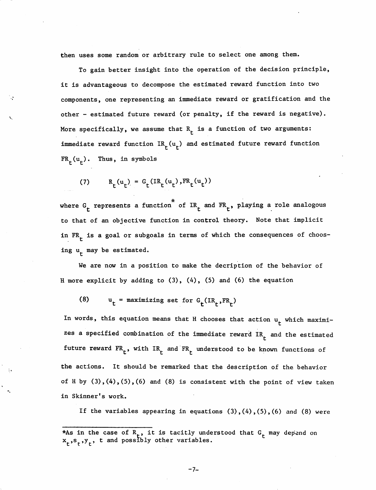then uses some random or arbitrary rule to select one among them.

To gain better insight into the operation of the decision principle, it is advantageous to decompose the estimated reward function into two components, one representing an immediate reward or gratification and the other - estimated future reward (or penalty, if the reward is negative). More specifically, we assume that  $R_+$  is a function of two arguments: immediate reward function  $IR_t(u_t)$  and estimated future reward function  $FR<sub>r</sub>(u<sub>r</sub>)$ . Thus, in symbols

(7)  $R_t(u_t) = G_t(IR_t(u_t),FR_t(u_t))$ 

where G<sub>r</sub> represents a function of IR<sub>r</sub> and FR<sub>r</sub>, playing a role analogous to that of an objective function in control theory. Note that implicit in  $FR<sub>r</sub>$  is a goal or subgoals in terms of which the consequences of choosing  $u_r$  may be estimated.

We are now in a position to make the decription of the behavior of H more explicit by adding to  $(3)$ ,  $(4)$ ,  $(5)$  and  $(6)$  the equation

(8)  $u_t =$  maximizing set for  $G_t (IR_t, FR_t)$ 

In words, this equation means that H chooses that action  $u_t$  which maximizes a specified combination of the immediate reward  $IR<sub>r</sub>$  and the estimated future reward  $FR_t$ , with  $IR_t$  and  $FR_t$  understood to be known functions of the actions. It should be remarked that the description of the behavior of H by  $(3)$ , $(4)$ , $(5)$ , $(6)$  and  $(8)$  is consistent with the point of view taken in Skinner's work.

If the variables appearing in equations  $(3)$ ,  $(4)$ ,  $(5)$ ,  $(6)$  and  $(8)$  were

 $-7-$ 

<sup>\*</sup>As in the case of  $R_{+}$ , it is tacitly understood that  $G_{+}$  may depend  $\mathbf{x}_{\scriptscriptstyle \perp},\mathbf{s}_{\scriptscriptstyle \perp},\mathbf{y}_{\scriptscriptstyle \perp},$  t and possibly other variables. on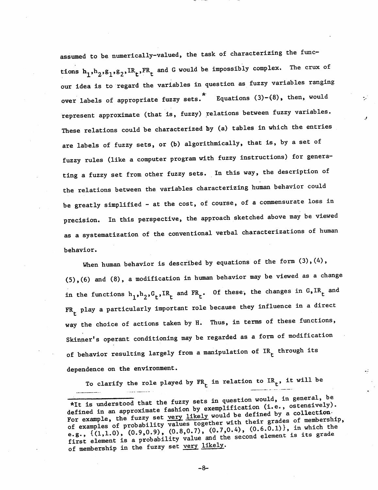assumed to be numerically-valued, the task of characterizing the func tions  $h_1,h_2,g_1,g_2,IR_t,FR_t$  and G would be impossibly complex. The crux of our idea is to regard the variables in question as fuzzy variables ranging over labels of appropriate fuzzy sets.<sup>\*</sup> Equations (3)-(8), then, would represent approximate (that is, fuzzy) relations between fuzzy variables. These relations could be characterized by (a) tables in which the entries are labels of fuzzy sets, or (b) algorithmically, that is, by a set of fuzzy rules (like a computer program with fuzzy instructions) for genera ting a fuzzy set from other fuzzy sets. In this way, the description of the relations between the variables characterizing human behavior could be greatly simplified - at the cost, of course, of a commensurate loss in precision. In this perspective, the approach sketched above may be viewed as a systematization of the conventional verbal characterizations of human behavior.

When human behavior is described by equations of the form  $(3)$ ,  $(4)$ ,  $(5)$ ,  $(6)$  and  $(8)$ , a modification in human behavior may be viewed as a change in the functions  $h_1^h,h_2^0, G_t^h,H_t^e$  and  $FR_t^h$ . Of these, the changes in  $G_sIR_t^h$  and  $FR<sub>r</sub>$  play a particularly important role because they influence in a direct way the choice of actions taken by H. Thus, in terms of these functions, Skinner's operant conditioning may be regarded as a form of modification of behavior resulting largely from a manipulation of  $IR<sub>r</sub>$  through its dependence on the environment.

To clarify the role played by  $FR_t$  in relation to  $IR_t$ , it will be

-8-

<sup>\*</sup>It is understood that the fuzzy sets in question would, in general, be defined in an approximate fashion by exemplification (i.e., ostensively). For example, the fuzzy set <u>very likely</u> would be defined by a collection of examples of probability values together with their grades of membership,<br>e.g.,  $\{(1,1.0), (0.9,0.9), (0.8,0.7), (0.7,0.4), (0.6.0.1)\},$  in which the first element is a probability value and the second element is its grade of membership in the fuzzy set very likely.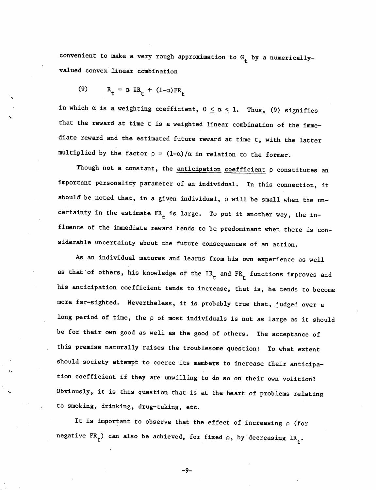convenient to make a very rough approximation to  $G_t$  by a numericallyvalued convex linear combination

$$
(9) \qquad R_t = \alpha \, IR_t + (1-\alpha)FR_t
$$

in which  $\alpha$  is a weighting coefficient,  $0 \leq \alpha \leq 1$ . Thus, (9) signifies that the reward at time t is a weighted linear combination of the imme diate reward and the estimated future reward at time t, with the latter multiplied by the factor  $\rho = (1-\alpha)/\alpha$  in relation to the former.

Though not a constant, the  $\frac{anticipation}{} coefficient$   $\rho$  constitutes an important personality parameter of an individual. In this connection, it should be noted that, in a given individual,  $\rho$  will be small when the uncertainty in the estimate  $FR<sub>t</sub>$  is large. To put it another way, the influence of the immediate reward tends to be predominant when there is con siderable uncertainty about the future consequences of an action.

As an individual matures and learns from his own experience as well as that of others, his knowledge of the  $IR_t$  and  $FR_t$  functions improves and his anticipation coefficient tends to increase, that is, he tends to become more far-sighted. Nevertheless, it is probably true that, judged over a long period of time, the  $\rho$  of most individuals is not as large as it should be for their own good as well as the good of others. The acceptance of this premise naturally raises the troublesome question: To what extent should society attempt to coerce its members to increase their anticipa tion coefficient if they are unwilling to do so on their own volition? Obviously, it is this question that is at the heart of problems relating to smoking, drinking, drug-taking, etc.

It is important to observe that the effect of increasing  $\rho$  (for negative FR<sub>t</sub>) can also be achieved, for fixed  $\rho$ , by decreasing IR<sub>t</sub>.

-9-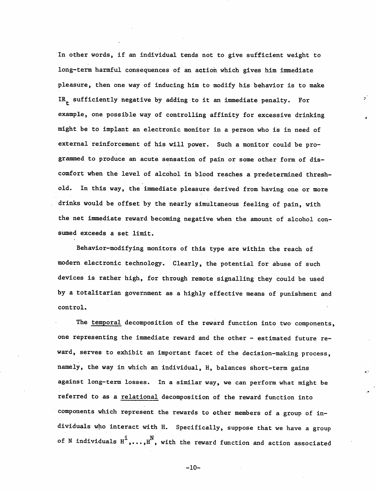In other words, if an individual tends not to give sufficient weight to long-term harmful consequences of an action which gives him immediate pleasure, then one way of inducing him to modify his behavior is to make IR<sub>+</sub> sufficiently negative by adding to it an immediate penalty. For example, one possible way of controlling affinity for excessive drinking might be to implant an electronic monitor in a person who is in need of external reinforcement of his will power. Such a monitor could be pro grammed to produce an acute sensation of pain or some other form of dis comfort when the level of alcohol in blood reaches a predetermined thresh old. In this way, the immediate pleasure derived from having one or more drinks would be offset by the nearly simultaneous feeling of pain, with the net immediate reward becoming negative when the amount of alcohol con sumed exceeds a set limit.

Behavior-modifying monitors of this type are within the reach of modern electronic technology. Clearly, the potential for abuse of such devices is rather high, for through remote signalling they could be used by a totalitarian government as a highly effective means of punishment and control.

The temporal decomposition of the reward function into two components, one representing the immediate reward and the other - estimated future re ward, serves to exhibit an important facet of the decision-making process, namely, the way in which an individual, H, balances short-term gains against long-term losses. In a similar way, we can perform what might be referred to as a relational decomposition of the reward function into components which represent the rewards to other members of a group of in dividuals who interact with H. Specifically, suppose that we have a group of N individuals  $H^1, \ldots, H^N$ , with the reward function and action associated

 $-10-$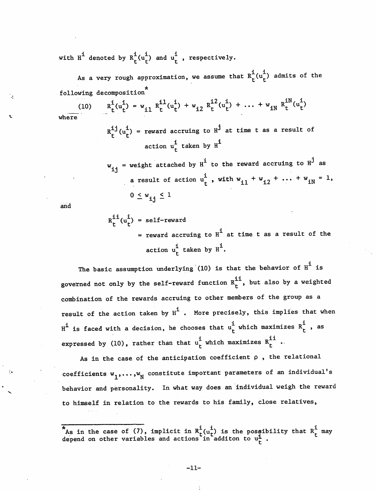with  $H^{\mathbf{i}}$  denoted by  $R^{\mathbf{i}}_t(u_t^{\mathbf{i}})$  and  $u_t^{\mathbf{i}}$  , respectively.

As a very rough approximation, we assume that  $R_t^i(u_t^i)$  admits of the following decomposition

(10) 
$$
R_t^1(u_t^1) = w_{11} R_t^{11}(u_t^1) + w_{12} R_t^{12}(u_t^1) + \dots + w_{1N} R_t^{1N}(u_t^1)
$$

where

 $R^{i,j}_{r}(u^{i}_{r})$  = reward accruing to  $H^{j}$  at time t as a result of action  $u_t^1$  taken by  $H^1$ 

w.. = weight attached by  $H^1$  to the reward accruing to  $H^J$  as ij a result of action  $u_t^i$ , with  $w_{i1}^i + w_{i2}^i + \ldots + w_{iN}^i = 1$ ,  $0 \leq w_{i,j} \leq 1$ 

and

 $R_t^{i_1}(u_t^i) = self-reward$ = reward accruing to  $H^1$  at time t as a result of the action  $u_t^i$  taken by  $H^i$ .

The basic assumption underlying (10) is that the behavior of  $H^{\mathbf{i}}$  is governed not only by the self-reward function  $R^{11}_t$ , but also by a weighted combination of the rewards accruing to other members of the group as a result of the action taken by  $H^1$  . More precisely, this implies that when  $H^1$  is faced with a decision, he chooses that  $u_t^1$  which maximizes  $R_t^1$  , as expressed by (10), rather than that  $u_t^i$  which maximizes  $R_t^{i,i}$  .

As in the case of the anticipation coefficient  $\rho$ , the relational coefficients  $w_1, \ldots, w_N$  constitute important parameters of an individual's behavior and personality. In what way does an individual weigh the reward to himself in relation to the rewards to his family, close relatives,

 $^*$ As in the case of (7), implicit in  $R^1_{r}(u_r^1)$  is the possibility that  $R^1_{r}$  may depend on other variables and actions in additon to  $u_t^1$ .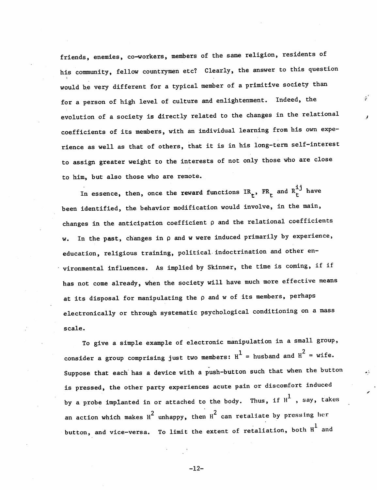friends, enemies, co-workers, members of the same religion, residents of his community, fellow countrymen etc? Clearly, the answer to this question would he very different for a typical member of a primitive society than for a person of high level of culture and enlightenment. Indeed, the evolution of a society is directly related to the changes in the relational coefficients of its members, with an individual learning from his own expe rience as well as that of others, that it is in his long-term self-interest to assign greater weight to the interests of not only those who are close to him, but also those who are remote.

್

In essence, then, once the reward functions  $IR_t$ ,  $FR_t$  and  $R_t^{ij}$  have been identified, the behavior modification would involve, in the main, changes in the anticipation coefficient  $\rho$  and the relational coefficients w. In the past, changes in  $\rho$  and w were induced primarily by experience, education, religious training, political indoctrination and other en vironmental influences. As implied by Skinner, the time is coming, if if has not come already, when the society will have much more effective means at its disposal for manipulating the  $\rho$  and w of its members, perhaps electronically or through systematic psychological conditioning on a mass scale.

To give a simple example of electronic manipulation in a small group, consider a group comprising just two members:  $H^1$  = husband and  $H^2$  = wife. Suppose that each has a device with a push-button such that when the button is pressed, the other party experiences acute pain or discomfort induced by a probe implanted in or attached to the body. Thus, if  $H^1$  , say, takes an action which makes  $H^2$  unhappy, then  $H^2$  can retaliate by pressing her button, and vice-versa. To limit the extent of retaliation, both  $H^1$  and

-12-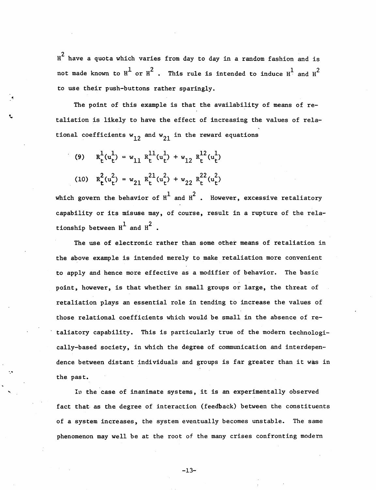$\text{H}^2$  have a quota which varies from day to day in a random fashion and is  $H^2$  have a quota which varies from day to day in a random fashion and is<br>not made known to  $H^1$  or  $H^2$  . This rule is intended to induce  $H^1$  and  $H^2$ to use their push-buttons rather sparingly.

The point of this example is that the availability of means of retaliation is likely to have the effect of increasing the values of rela tional coefficients  $w_{12}$  and  $w_{21}$  in the reward equations

(9)  $R_f^1(u_f^1) = w_{11} R_f^{11}(u_f^1) + w_{12} R_f^{12}(u_f^1)$ (10)  $R_r^2(u_r^2) = w_{21} R_r^{21}(u_r^2) + w_{22} R_r^{22}(u_r^2)$ 

which govern the behavior of  $H^1$  and  $H^2$ . However, excessive retaliatory capability or its misuse may, of course, result in a rupture of the relationship between  $H^{\perp}$  and  $H^{\perp}$ 

The use of electronic rather than some other means of retaliation in the above example is intended merely to make retaliation more convenient to apply and hence more effective as a modifier of behavior. The basic point, however, is that whether in small groups or large, the threat of retaliation plays an essential role in tending to increase the values of those relational coefficients which would be small in the absence of re taliatory capability. This is particularly true of the modern technologi cally-based society, in which the degree of communication and interdepen dence between distant individuals and groups is far greater than it was in the past.

In the case of inanimate systems, it is an experimentally observed fact that as the degree of interaction (feedback) between the constituents of a system increases, the system eventually becomes unstable. The same phenomenon may well be at the root of the many crises confronting modern

 $-13-$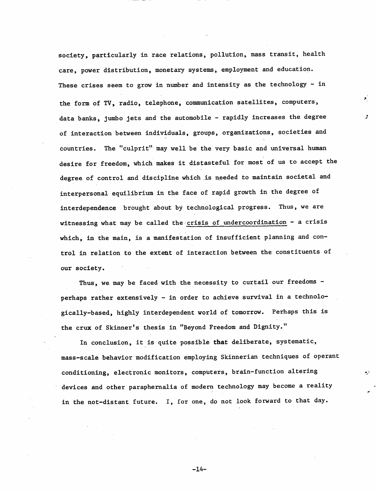society, particularly in race relations, pollution, mass transit, health care, power distribution, monetary systems, employment and education. These crises seem to grow in number and intensity as the technology - in the form of TV, radio, telephone, communication satellites, computers, data banks, jumbo jets and the automobile - rapidly increases the degree of interaction between individuals, groups, organizations, societies and countries. The "culprit" may well be the very basic and universal human desire for freedom, which makes it distasteful for most of us to accept the degree of control and discipline which is needed to maintain societal and interpersonal equilibrium in the face of rapid growth in the degree of interdependence brought about by technological progress. Thus, we are witnessing what may be called the crisis of undercoordination - a crisis which, in the main, is a manifestation of insufficient planning and control in relation to the extent of interaction between the constituents of our society.

Þ.

Thus, we may be faced with the necessity to curtail our freedoms perhaps rather extensively - in order to achieve survival in a technolo gically-based, highly interdependent world of tomorrow. Perhaps this is the crux of Skinner's thesis in "Beyond Freedom and Dignity."

In conclusion, it is quite possible that deliberate, systematic, mass-scale behavior modification employing Skinnerian techniques of operant conditioning, electronic monitors, computers, brain-function altering devices and other paraphernalia of modern technology may become a reality in the not-distant future. I, for one, do not look forward to that day.

-14-